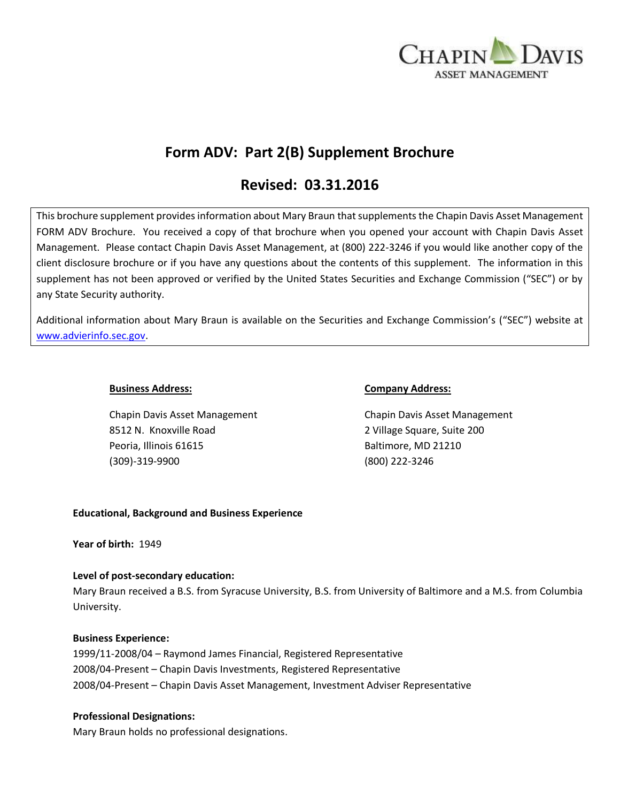

# **Form ADV: Part 2(B) Supplement Brochure**

# **Revised: 03.31.2016**

This brochure supplement provides information about Mary Braun that supplements the Chapin Davis Asset Management FORM ADV Brochure. You received a copy of that brochure when you opened your account with Chapin Davis Asset Management. Please contact Chapin Davis Asset Management, at (800) 222-3246 if you would like another copy of the client disclosure brochure or if you have any questions about the contents of this supplement. The information in this supplement has not been approved or verified by the United States Securities and Exchange Commission ("SEC") or by any State Security authority.

Additional information about Mary Braun is available on the Securities and Exchange Commission's ("SEC") website at [www.advierinfo.sec.gov.](http://www.advierinfo.sec.gov/)

Chapin Davis Asset Management Chapin Davis Asset Management 8512 N. Knoxville Road 2 Village Square, Suite 200 Peoria, Illinois 61615 Baltimore, MD 21210 (309)-319-9900 (800) 222-3246

#### **Business Address: Company Address:**

# **Educational, Background and Business Experience**

**Year of birth:** 1949

# **Level of post-secondary education:**

Mary Braun received a B.S. from Syracuse University, B.S. from University of Baltimore and a M.S. from Columbia University.

# **Business Experience:**

1999/11-2008/04 – Raymond James Financial, Registered Representative 2008/04-Present – Chapin Davis Investments, Registered Representative 2008/04-Present – Chapin Davis Asset Management, Investment Adviser Representative

# **Professional Designations:**

Mary Braun holds no professional designations.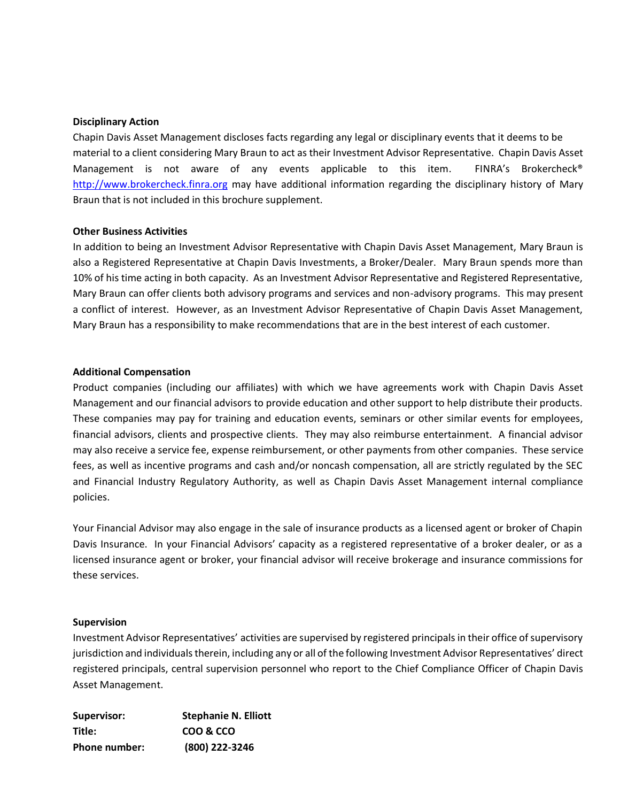#### **Disciplinary Action**

Chapin Davis Asset Management discloses facts regarding any legal or disciplinary events that it deems to be material to a client considering Mary Braun to act as their Investment Advisor Representative. Chapin Davis Asset Management is not aware of any events applicable to this item. FINRA's Brokercheck<sup>®</sup> [http://www.brokercheck.finra.org](http://www.brokercheck.finra.org/) may have additional information regarding the disciplinary history of Mary Braun that is not included in this brochure supplement.

#### **Other Business Activities**

In addition to being an Investment Advisor Representative with Chapin Davis Asset Management, Mary Braun is also a Registered Representative at Chapin Davis Investments, a Broker/Dealer. Mary Braun spends more than 10% of his time acting in both capacity. As an Investment Advisor Representative and Registered Representative, Mary Braun can offer clients both advisory programs and services and non-advisory programs. This may present a conflict of interest. However, as an Investment Advisor Representative of Chapin Davis Asset Management, Mary Braun has a responsibility to make recommendations that are in the best interest of each customer.

#### **Additional Compensation**

Product companies (including our affiliates) with which we have agreements work with Chapin Davis Asset Management and our financial advisors to provide education and other support to help distribute their products. These companies may pay for training and education events, seminars or other similar events for employees, financial advisors, clients and prospective clients. They may also reimburse entertainment. A financial advisor may also receive a service fee, expense reimbursement, or other payments from other companies. These service fees, as well as incentive programs and cash and/or noncash compensation, all are strictly regulated by the SEC and Financial Industry Regulatory Authority, as well as Chapin Davis Asset Management internal compliance policies.

Your Financial Advisor may also engage in the sale of insurance products as a licensed agent or broker of Chapin Davis Insurance. In your Financial Advisors' capacity as a registered representative of a broker dealer, or as a licensed insurance agent or broker, your financial advisor will receive brokerage and insurance commissions for these services.

#### **Supervision**

Investment Advisor Representatives' activities are supervised by registered principals in their office of supervisory jurisdiction and individuals therein, including any or all of the following Investment Advisor Representatives' direct registered principals, central supervision personnel who report to the Chief Compliance Officer of Chapin Davis Asset Management.

| Supervisor:          | <b>Stephanie N. Elliott</b> |
|----------------------|-----------------------------|
| Title:               | COO & CCO                   |
| <b>Phone number:</b> | (800) 222-3246              |